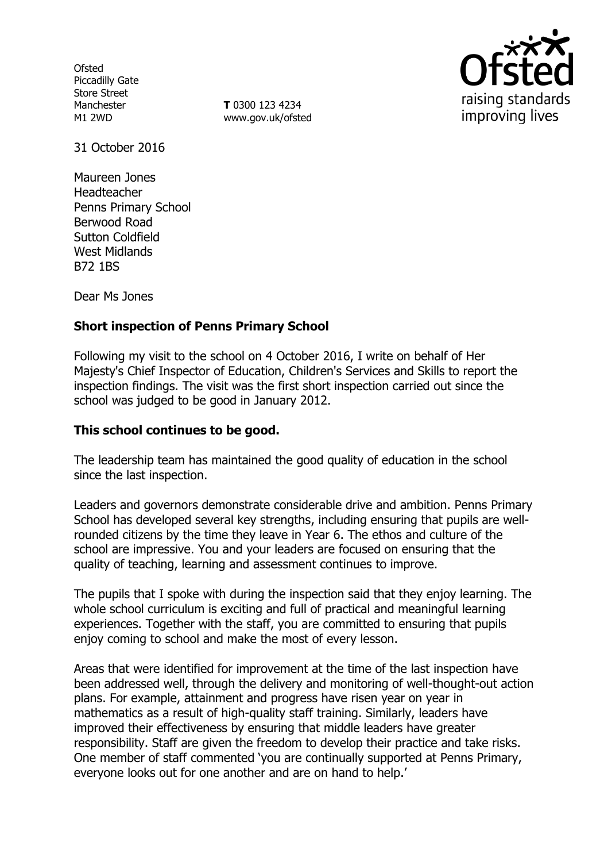**Ofsted** Piccadilly Gate Store Street Manchester M1 2WD

**T** 0300 123 4234 www.gov.uk/ofsted



31 October 2016

Maureen Jones Headteacher Penns Primary School Berwood Road Sutton Coldfield West Midlands B72 1BS

Dear Ms Jones

# **Short inspection of Penns Primary School**

Following my visit to the school on 4 October 2016, I write on behalf of Her Majesty's Chief Inspector of Education, Children's Services and Skills to report the inspection findings. The visit was the first short inspection carried out since the school was judged to be good in January 2012.

## **This school continues to be good.**

The leadership team has maintained the good quality of education in the school since the last inspection.

Leaders and governors demonstrate considerable drive and ambition. Penns Primary School has developed several key strengths, including ensuring that pupils are wellrounded citizens by the time they leave in Year 6. The ethos and culture of the school are impressive. You and your leaders are focused on ensuring that the quality of teaching, learning and assessment continues to improve.

The pupils that I spoke with during the inspection said that they enjoy learning. The whole school curriculum is exciting and full of practical and meaningful learning experiences. Together with the staff, you are committed to ensuring that pupils enjoy coming to school and make the most of every lesson.

Areas that were identified for improvement at the time of the last inspection have been addressed well, through the delivery and monitoring of well-thought-out action plans. For example, attainment and progress have risen year on year in mathematics as a result of high-quality staff training. Similarly, leaders have improved their effectiveness by ensuring that middle leaders have greater responsibility. Staff are given the freedom to develop their practice and take risks. One member of staff commented 'you are continually supported at Penns Primary, everyone looks out for one another and are on hand to help.'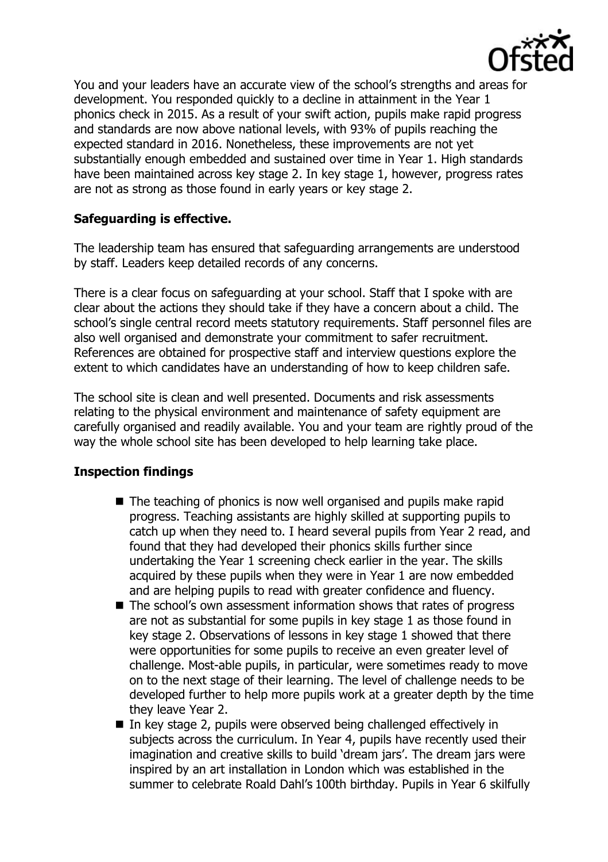

You and your leaders have an accurate view of the school's strengths and areas for development. You responded quickly to a decline in attainment in the Year 1 phonics check in 2015. As a result of your swift action, pupils make rapid progress and standards are now above national levels, with 93% of pupils reaching the expected standard in 2016. Nonetheless, these improvements are not yet substantially enough embedded and sustained over time in Year 1. High standards have been maintained across key stage 2. In key stage 1, however, progress rates are not as strong as those found in early years or key stage 2.

## **Safeguarding is effective.**

The leadership team has ensured that safeguarding arrangements are understood by staff. Leaders keep detailed records of any concerns.

There is a clear focus on safeguarding at your school. Staff that I spoke with are clear about the actions they should take if they have a concern about a child. The school's single central record meets statutory requirements. Staff personnel files are also well organised and demonstrate your commitment to safer recruitment. References are obtained for prospective staff and interview questions explore the extent to which candidates have an understanding of how to keep children safe.

The school site is clean and well presented. Documents and risk assessments relating to the physical environment and maintenance of safety equipment are carefully organised and readily available. You and your team are rightly proud of the way the whole school site has been developed to help learning take place.

### **Inspection findings**

- The teaching of phonics is now well organised and pupils make rapid progress. Teaching assistants are highly skilled at supporting pupils to catch up when they need to. I heard several pupils from Year 2 read, and found that they had developed their phonics skills further since undertaking the Year 1 screening check earlier in the year. The skills acquired by these pupils when they were in Year 1 are now embedded and are helping pupils to read with greater confidence and fluency.
- The school's own assessment information shows that rates of progress are not as substantial for some pupils in key stage 1 as those found in key stage 2. Observations of lessons in key stage 1 showed that there were opportunities for some pupils to receive an even greater level of challenge. Most-able pupils, in particular, were sometimes ready to move on to the next stage of their learning. The level of challenge needs to be developed further to help more pupils work at a greater depth by the time they leave Year 2.
- In key stage 2, pupils were observed being challenged effectively in subjects across the curriculum. In Year 4, pupils have recently used their imagination and creative skills to build 'dream jars'. The dream jars were inspired by an art installation in London which was established in the summer to celebrate Roald Dahl's 100th birthday. Pupils in Year 6 skilfully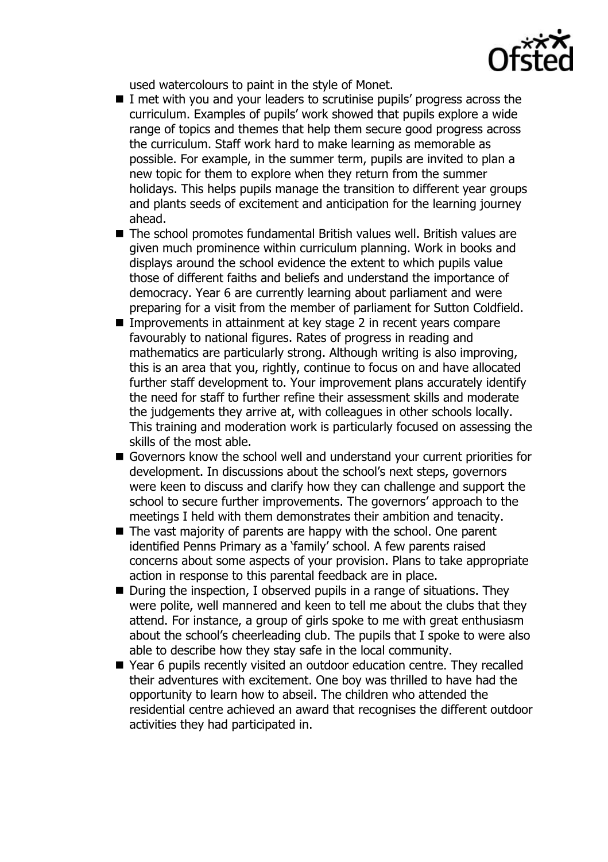

used watercolours to paint in the style of Monet.

- I met with you and your leaders to scrutinise pupils' progress across the curriculum. Examples of pupils' work showed that pupils explore a wide range of topics and themes that help them secure good progress across the curriculum. Staff work hard to make learning as memorable as possible. For example, in the summer term, pupils are invited to plan a new topic for them to explore when they return from the summer holidays. This helps pupils manage the transition to different year groups and plants seeds of excitement and anticipation for the learning journey ahead.
- The school promotes fundamental British values well. British values are given much prominence within curriculum planning. Work in books and displays around the school evidence the extent to which pupils value those of different faiths and beliefs and understand the importance of democracy. Year 6 are currently learning about parliament and were preparing for a visit from the member of parliament for Sutton Coldfield.
- Improvements in attainment at key stage 2 in recent years compare favourably to national figures. Rates of progress in reading and mathematics are particularly strong. Although writing is also improving, this is an area that you, rightly, continue to focus on and have allocated further staff development to. Your improvement plans accurately identify the need for staff to further refine their assessment skills and moderate the judgements they arrive at, with colleagues in other schools locally. This training and moderation work is particularly focused on assessing the skills of the most able.
- Governors know the school well and understand your current priorities for development. In discussions about the school's next steps, governors were keen to discuss and clarify how they can challenge and support the school to secure further improvements. The governors' approach to the meetings I held with them demonstrates their ambition and tenacity.
- The vast majority of parents are happy with the school. One parent identified Penns Primary as a 'family' school. A few parents raised concerns about some aspects of your provision. Plans to take appropriate action in response to this parental feedback are in place.
- $\blacksquare$  During the inspection, I observed pupils in a range of situations. They were polite, well mannered and keen to tell me about the clubs that they attend. For instance, a group of girls spoke to me with great enthusiasm about the school's cheerleading club. The pupils that I spoke to were also able to describe how they stay safe in the local community.
- Year 6 pupils recently visited an outdoor education centre. They recalled their adventures with excitement. One boy was thrilled to have had the opportunity to learn how to abseil. The children who attended the residential centre achieved an award that recognises the different outdoor activities they had participated in.